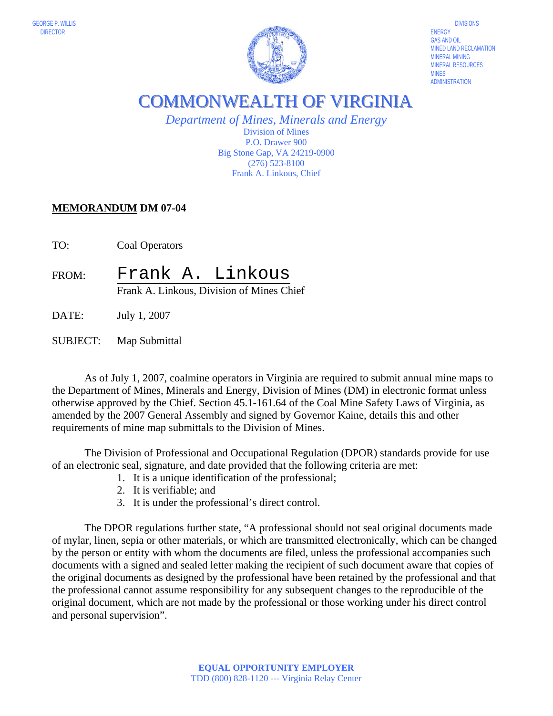

MINED LAND RECLAMATION MINERAL RESOURCES MINES<br>ADMINISTRATION

COMMONWEALTH OF VIRGINIA

*Department of Mines, Minerals and Energy*  Division of Mines P.O. Drawer 900 Big Stone Gap, VA 24219-0900 (276) 523-8100 Frank A. Linkous, Chief

## **MEMORANDUM DM 07-04**

TO: Coal Operators

FROM: Frank A. Linkous Frank A. Linkous, Division of Mines Chief

DATE: July 1, 2007

SUBJECT: Map Submittal

 As of July 1, 2007, coalmine operators in Virginia are required to submit annual mine maps to the Department of Mines, Minerals and Energy, Division of Mines (DM) in electronic format unless otherwise approved by the Chief. Section 45.1-161.64 of the Coal Mine Safety Laws of Virginia, as amended by the 2007 General Assembly and signed by Governor Kaine, details this and other requirements of mine map submittals to the Division of Mines.

 The Division of Professional and Occupational Regulation (DPOR) standards provide for use of an electronic seal, signature, and date provided that the following criteria are met:

- 1. It is a unique identification of the professional;
- 2. It is verifiable; and
- 3. It is under the professional's direct control.

The DPOR regulations further state, "A professional should not seal original documents made of mylar, linen, sepia or other materials, or which are transmitted electronically, which can be changed by the person or entity with whom the documents are filed, unless the professional accompanies such documents with a signed and sealed letter making the recipient of such document aware that copies of the original documents as designed by the professional have been retained by the professional and that the professional cannot assume responsibility for any subsequent changes to the reproducible of the original document, which are not made by the professional or those working under his direct control and personal supervision".